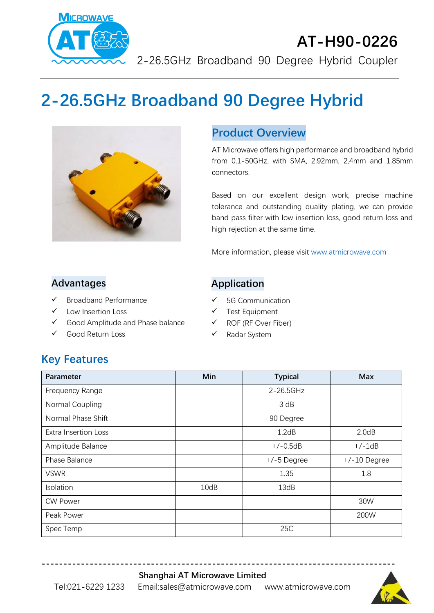

# **AT-H90-0226**

2-26.5GHz Broadband 90 Degree Hybrid Coupler

# **2-26.5GHz Broadband 90 Degree Hybrid**



#### **Product Overview**

AT Microwave offers high performance and broadband hybrid from 0.1-50GHz, with SMA, 2.92mm, 2,4mm and 1.85mm connectors.

Based on our excellent design work, precise machine tolerance and outstanding quality plating, we can provide band pass filter with low insertion loss, good return loss and high rejection at the same time.

More information, please visit [www.atmicrowave.com](http://www.atmicrowave.com/)

#### **Advantages**

- ✓ Broadband Performance
- Low Insertion Loss
- ✓ Good Amplitude and Phase balance
- ✓ Good Return Loss

#### **Application**

- ✓ 5G Communication
- ✓ Test Equipment
- ✓ ROF (RF Over Fiber)
- ✓ Radar System

## **Key Features**

| Parameter                   | Min  | <b>Typical</b> | <b>Max</b>     |
|-----------------------------|------|----------------|----------------|
| Frequency Range             |      | 2-26.5GHz      |                |
| Normal Coupling             |      | 3 dB           |                |
| Normal Phase Shift          |      | 90 Degree      |                |
| <b>Extra Insertion Loss</b> |      | 1.2dB          | 2.0dB          |
| Amplitude Balance           |      | $+/-0.5dB$     | $+/-1dB$       |
| Phase Balance               |      | $+/-5$ Degree  | $+/-10$ Degree |
| <b>VSWR</b>                 |      | 1.35           | 1.8            |
| Isolation                   | 10dB | 13dB           |                |
| <b>CW Power</b>             |      |                | 30W            |
| Peak Power                  |      |                | 200W           |
| Spec Temp                   |      | 25C            |                |

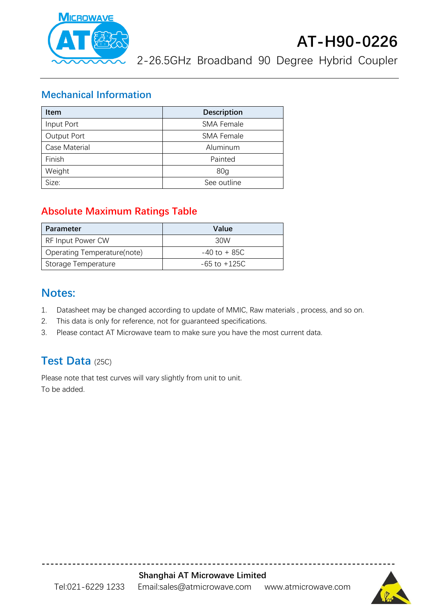

2-26.5GHz Broadband 90 Degree Hybrid Coupler

#### **Mechanical Information**

| <b>Item</b>        | <b>Description</b> |  |
|--------------------|--------------------|--|
| Input Port         | <b>SMA Female</b>  |  |
| <b>Output Port</b> | <b>SMA Female</b>  |  |
| Case Material      | Aluminum           |  |
| Finish             | Painted            |  |
| Weight             | 80 <sub>q</sub>    |  |
| Size:              | See outline        |  |

#### **Absolute Maximum Ratings Table**

| Parameter                   | Value            |
|-----------------------------|------------------|
| RF Input Power CW           | 30W              |
| Operating Temperature(note) | $-40$ to $+85C$  |
| Storage Temperature         | $-65$ to $+125C$ |

#### **Notes:**

- 1. Datasheet may be changed according to update of MMIC, Raw materials , process, and so on.
- 2. This data is only for reference, not for guaranteed specifications.
- 3. Please contact AT Microwave team to make sure you have the most current data.

## **Test Data** (25C)

Please note that test curves will vary slightly from unit to unit. To be added.



**---------------------------------------------------------------------------------**